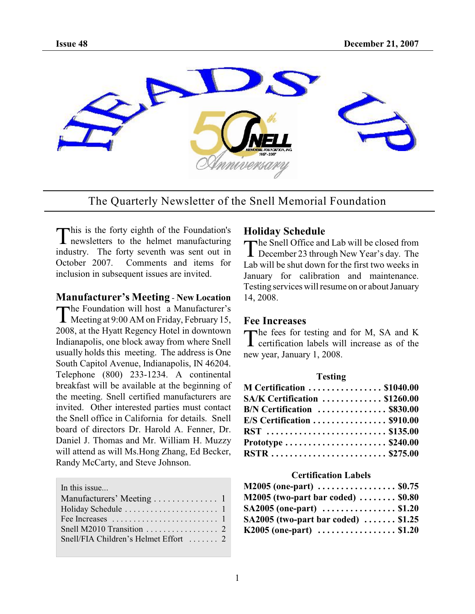

The Quarterly Newsletter of the Snell Memorial Foundation

This is the forty eighth of the Foundation's<br>
newsletters to the helmet manufacturing This is the forty eighth of the Foundation's industry. The forty seventh was sent out in October 2007. Comments and items for inclusion in subsequent issues are invited.

### **Manufacturer's Meeting** - **New Location**

The Foundation will host a Manufacturer's<br>Meeting at 9:00 AM on Friday, February 15, The Foundation will host a Manufacturer's 2008, at the Hyatt Regency Hotel in downtown Indianapolis, one block away from where Snell usually holds this meeting. The address is One South Capitol Avenue, Indianapolis, IN 46204. Telephone (800) 233-1234. A continental breakfast will be available at the beginning of the meeting. Snell certified manufacturers are invited. Other interested parties must contact the Snell office in California for details. Snell board of directors Dr. Harold A. Fenner, Dr. Daniel J. Thomas and Mr. William H. Muzzy will attend as will Ms.Hong Zhang, Ed Becker, Randy McCarty, and Steve Johnson.

In this issue.

| Fee Increases $\dots \dots \dots \dots \dots \dots \dots \dots \dots$ |  |
|-----------------------------------------------------------------------|--|
|                                                                       |  |
|                                                                       |  |
|                                                                       |  |

## **Holiday Schedule**

The Snell Office and Lab will be closed from<br>December 23 through New Year's day. The December 23 through New Year's day. The Lab will be shut down for the first two weeks in January for calibration and maintenance. Testing services will resume on or about January 14, 2008.

### **Fee Increases**

The fees for testing and for M, SA and K<br>certification labels will increase as of the  $\bf{l}$  certification labels will increase as of the new year, January 1, 2008.

| <b>Testing</b>                                             |  |  |
|------------------------------------------------------------|--|--|
| M Certification  \$1040.00                                 |  |  |
| SA/K Certification  \$1260.00                              |  |  |
| $B/N$ Certification $\ldots \ldots \ldots \ldots$ \$830.00 |  |  |
| $E/S$ Certification  \$910.00                              |  |  |
| RST  \$135.00                                              |  |  |
|                                                            |  |  |
|                                                            |  |  |

### **Certification Labels**

| M2005 (one-part)  \$0.75                                 |  |
|----------------------------------------------------------|--|
| M2005 (two-part bar coded) $\ldots \ldots \ldots$ \$0.80 |  |
| SA2005 (one-part) $\dots\dots\dots\dots\dots$ \$1.20     |  |
| SA2005 (two-part bar coded) $\ldots \ldots$ \$1.25       |  |
| K2005 (one-part)  \$1.20                                 |  |